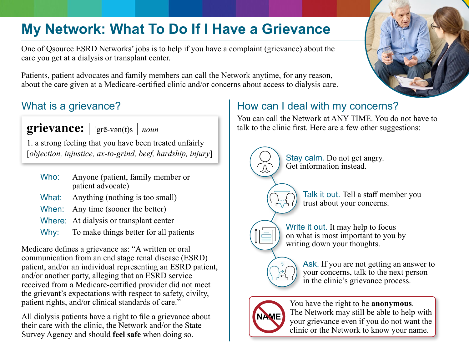# **My Network: What To Do If I Have a Grievance**

One of Qsource ESRD Networks' jobs is to help if you have a complaint (grievance) about the care you get at a dialysis or transplant center.

Patients, patient advocates and family members can call the Network anytime, for any reason, about the care given at a Medicare-certified clinic and/or concerns about access to dialysis care.

## What is a grievance?

**grievance:** | ˈgrē-vən(t)s | *noun*

1. a strong feeling that you have been treated unfairly [*objection, injustice, ax-to-grind, beef, hardship, injury*]

- Who: Anyone (patient, family member or patient advocate)
- What: Anything (nothing is too small)
- When: Any time (sooner the better)
- Where: At dialysis or transplant center
- Why: To make things better for all patients

Medicare defines a grievance as: "A written or oral communication from an end stage renal disease (ESRD) patient, and/or an individual representing an ESRD patient, and/or another party, alleging that an ESRD service received from a Medicare-certified provider did not meet the grievant's expectations with respect to safety, civilty, patient rights, and/or clinical standards of care."

All dialysis patients have a right to file a grievance about their care with the clinic, the Network and/or the State Survey Agency and should **feel safe** when doing so.

# How can I deal with my concerns?

You can call the Network at ANY TIME. You do not have to talk to the clinic first. Here are a few other suggestions:

> Stay calm. Do not get angry. Get information instead.

> > Talk it out. Tell a staff member you trust about your concerns.

Write it out. It may help to focus on what is most important to you by writing down your thoughts.

> Ask. If you are not getting an answer to your concerns, talk to the next person in the clinic's grievance process.



You have the right to be **anonymous**. The Network may still be able to help with your grievance even if you do not want the clinic or the Network to know your name.